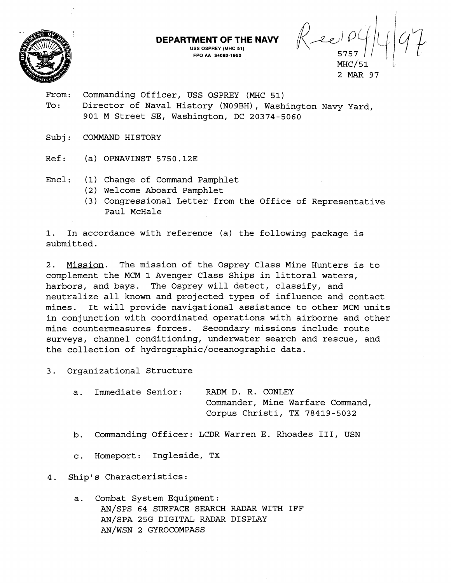

**DEPARTMENT OF THE NAVY**  $\bigotimes_{\text{USS OFFREY (MHC 51)}} \bigotimes_{\text{A}}$ 5757 *Il-cl!*   $MHC/51$ 

2 MAR 97

From: Commanding Officer, USS OSPREY (MHC 51) To: Director of Naval History (N09BH), Washington Navy Yard, 901 M Street SE, Washington, DC 20374-5060

**FPO AA 34082-1850** 

- Subj: COMMAND HISTORY
- Ref: (a) OPNAVINST 5750.12E
- Encl : (1) Change of Command Pamphlet
	- (2) Welcome Aboard Pamphlet
	- (3) Congressional Letter from the Office of Representative Paul McHale

1. In accordance with reference (a) the following package is submitted.

2. Mission. The mission of the Osprey Class Mine Hunters is to complement the MCM 1 Avenger Class Ships in littoral waters, harbors, and bays. The Osprey will detect, classify, and neutralize all known and projected types of influence and contact mines. It will provide navigational assistance to other MCM units in conjunction with coordinated operations with airborne and other mine countermeasures forces. Secondary missions include route surveys, channel conditioning, underwater search and rescue, and the collection of **hydrographic/oceanographic** data.

3. Organizational Structure

a. Immediate Senior: RADM D. R. CONLEY Commander, Mine Warfare Command, Corpus Christi, TX 78419-5032

- b. Commanding Officer: LCDR Warren E. Rhoades 111, USN
- c. Homeport: Ingleside, TX

4. Ship's Characteristics:

a. Combat System Equipment: AN/SPS 64 SURFACE SEARCH RADAR WITH IFF AN/SPA 25G DIGITAL RADAR DISPLAY AN/WSN 2 GYROCOMPASS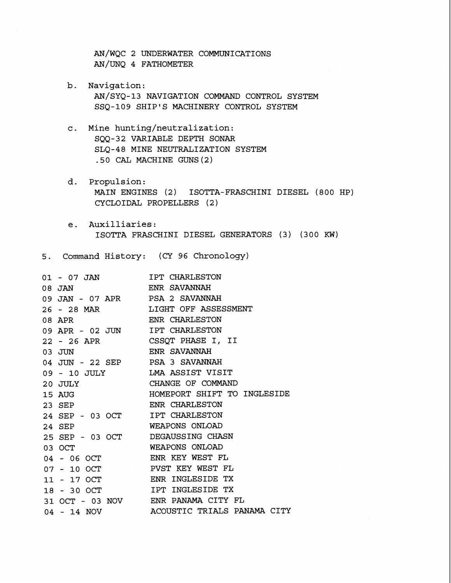AN/WQC 2 UNDERWATER COMMUNICATIONS AN/UNQ 4 FATHOMETER

- b. Navigation: AN/SYQ-13 NAVIGATION COMMAND CONTROL SYSTEM SSQ-109 SHIP'S MACHINERY CONTROL SYSTEM
- c. Mine hunting/neutralization: SQQ-32 VARIABLE DEPTH SONAR SLQ-48 MINE NEUTRALIZATION SYSTEM .50 CAL MACHINE GUNS(2)
- d. Propulsion: MAIN ENGINES (2) ISOTTA-FRASCHINI DIESEL (800 HP) CYCLOIDAL PROPELLERS (2 )
- e. Auxilliaries: ISOTTA FRASCHINI DIESEL GENERATORS (3) (300 KW)

5. Command History: (CY 96 Chronology)

| 01 - 07 JAN                      | IPT CHARLESTON                   |
|----------------------------------|----------------------------------|
| 08 JAN                           | ENR SAVANNAH                     |
| 09 JAN - 07 APR PSA 2 SAVANNAH   |                                  |
|                                  | 26 - 28 MAR LIGHT OFF ASSESSMENT |
| 08 APR                           | ENR CHARLESTON                   |
| 09 APR - 02 JUN                  | IPT CHARLESTON                   |
|                                  | 22 - 26 APR CSSQT PHASE I, II    |
| $03$ JUN                         | ENR SAVANNAH                     |
| 04 JUN - 22 SEP PSA 3 SAVANNAH   |                                  |
| 09 - 10 JULY LMA ASSIST VISIT    |                                  |
| $20$ JULY                        | CHANGE OF COMMAND                |
| 15 AUG                           | HOMEPORT SHIFT TO INGLESIDE      |
| 23 SEP                           | ENR CHARLESTON                   |
| 24 SEP - 03 OCT                  | IPT CHARLESTON                   |
| 24 SEP                           | WEAPONS ONLOAD                   |
| 25 SEP - 03 OCT DEGAUSSING CHASN |                                  |
| 03 OCT                           | WEAPONS ONLOAD                   |
| 04 - 06 OCT                      | ENR KEY WEST FL                  |
| $07 - 10$ OCT                    | PVST KEY WEST FL                 |
| 11 - 17 OCT                      | ENR INGLESIDE TX                 |
| 18 - 30 OCT                      | IPT INGLESIDE TX                 |
| 31 OCT - 03 NOV                  | ENR PANAMA CITY FL               |
| $04 - 14$ NOV                    | ACOUSTIC TRIALS PANAMA CITY      |